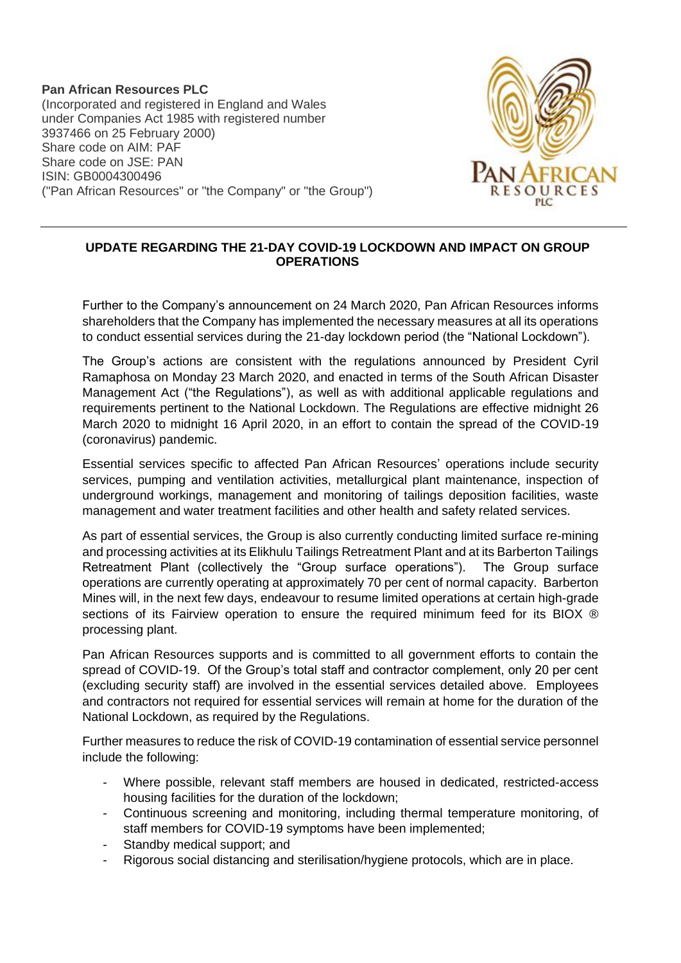**Pan African Resources PLC** (Incorporated and registered in England and Wales under Companies Act 1985 with registered number 3937466 on 25 February 2000) Share code on AIM: PAF Share code on JSE: PAN ISIN: GB0004300496 ("Pan African Resources" or "the Company" or "the Group")



## **UPDATE REGARDING THE 21-DAY COVID-19 LOCKDOWN AND IMPACT ON GROUP OPERATIONS**

Further to the Company's announcement on 24 March 2020, Pan African Resources informs shareholders that the Company has implemented the necessary measures at all its operations to conduct essential services during the 21-day lockdown period (the "National Lockdown").

The Group's actions are consistent with the regulations announced by President Cyril Ramaphosa on Monday 23 March 2020, and enacted in terms of the South African Disaster Management Act ("the Regulations"), as well as with additional applicable regulations and requirements pertinent to the National Lockdown. The Regulations are effective midnight 26 March 2020 to midnight 16 April 2020, in an effort to contain the spread of the COVID-19 (coronavirus) pandemic.

Essential services specific to affected Pan African Resources' operations include security services, pumping and ventilation activities, metallurgical plant maintenance, inspection of underground workings, management and monitoring of tailings deposition facilities, waste management and water treatment facilities and other health and safety related services.

As part of essential services, the Group is also currently conducting limited surface re-mining and processing activities at its Elikhulu Tailings Retreatment Plant and at its Barberton Tailings Retreatment Plant (collectively the "Group surface operations"). The Group surface operations are currently operating at approximately 70 per cent of normal capacity. Barberton Mines will, in the next few days, endeavour to resume limited operations at certain high-grade sections of its Fairview operation to ensure the required minimum feed for its BIOX ® processing plant.

Pan African Resources supports and is committed to all government efforts to contain the spread of COVID-19. Of the Group's total staff and contractor complement, only 20 per cent (excluding security staff) are involved in the essential services detailed above. Employees and contractors not required for essential services will remain at home for the duration of the National Lockdown, as required by the Regulations.

Further measures to reduce the risk of COVID-19 contamination of essential service personnel include the following:

- Where possible, relevant staff members are housed in dedicated, restricted-access housing facilities for the duration of the lockdown;
- Continuous screening and monitoring, including thermal temperature monitoring, of staff members for COVID-19 symptoms have been implemented;
- Standby medical support; and
- Rigorous social distancing and sterilisation/hygiene protocols, which are in place.